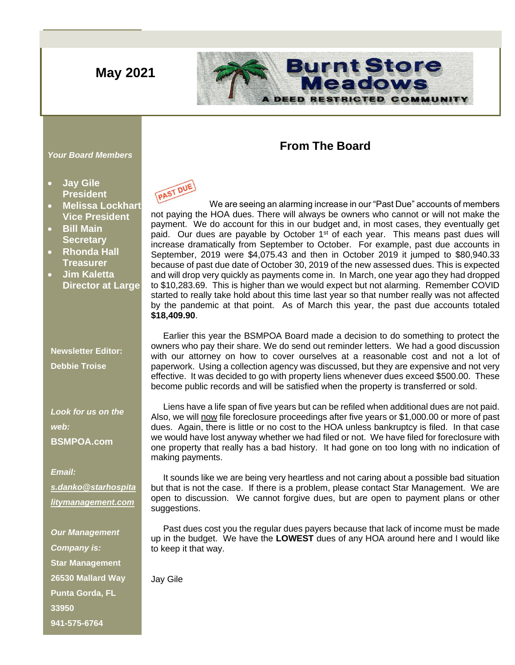# **May 2021**

## **Burnt Store** Meadows DEED **RESTRICTED COMMUNITY**

## **From The Board**

#### *Your Board Members*

- **Jay Gile President**
- **Melissa Lockhart Vice President**
- **Bill Main Secretary**
- **Rhonda Hall Treasurer**
- **Jim Kaletta Director at Large**

**Newsletter Editor: Debbie Troise**

*Look for us on the web:* **BSMPOA.com**

*Email: [s.danko@starhospita](mailto:s.danko@starhospitalitymanagement.com) [litymanagement.com](mailto:s.danko@starhospitalitymanagement.com)*

*Our Management Company is:* **Star Management 26530 Mallard Way Punta Gorda, FL 33950 941-575-6764**



 We are seeing an alarming increase in our "Past Due" accounts of members not paying the HOA dues. There will always be owners who cannot or will not make the payment. We do account for this in our budget and, in most cases, they eventually get paid. Our dues are payable by October  $1<sup>st</sup>$  of each year. This means past dues will increase dramatically from September to October. For example, past due accounts in September, 2019 were \$4,075.43 and then in October 2019 it jumped to \$80,940.33 because of past due date of October 30, 2019 of the new assessed dues. This is expected and will drop very quickly as payments come in. In March, one year ago they had dropped to \$10,283.69. This is higher than we would expect but not alarming. Remember COVID started to really take hold about this time last year so that number really was not affected by the pandemic at that point. As of March this year, the past due accounts totaled **\$18,409.90**.

 Earlier this year the BSMPOA Board made a decision to do something to protect the owners who pay their share. We do send out reminder letters. We had a good discussion with our attorney on how to cover ourselves at a reasonable cost and not a lot of paperwork. Using a collection agency was discussed, but they are expensive and not very effective. It was decided to go with property liens whenever dues exceed \$500.00. These become public records and will be satisfied when the property is transferred or sold.

 Liens have a life span of five years but can be refiled when additional dues are not paid. Also, we will now file foreclosure proceedings after five years or \$1,000.00 or more of past dues. Again, there is little or no cost to the HOA unless bankruptcy is filed. In that case we would have lost anyway whether we had filed or not. We have filed for foreclosure with one property that really has a bad history. It had gone on too long with no indication of making payments.

 It sounds like we are being very heartless and not caring about a possible bad situation but that is not the case. If there is a problem, please contact Star Management. We are open to discussion. We cannot forgive dues, but are open to payment plans or other suggestions.

 Past dues cost you the regular dues payers because that lack of income must be made up in the budget. We have the **LOWEST** dues of any HOA around here and I would like to keep it that way.

Jay Gile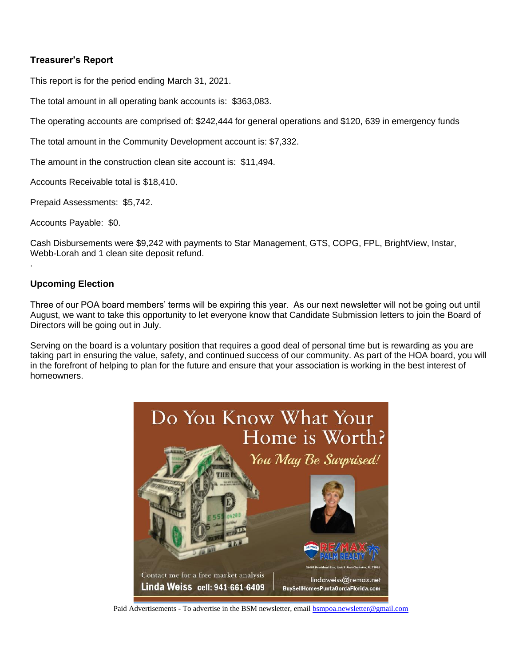## **Treasurer's Report**

This report is for the period ending March 31, 2021.

The total amount in all operating bank accounts is: \$363,083.

The operating accounts are comprised of: \$242,444 for general operations and \$120, 639 in emergency funds

The total amount in the Community Development account is: \$7,332.

The amount in the construction clean site account is: \$11,494.

Accounts Receivable total is \$18,410.

Prepaid Assessments: \$5,742.

Accounts Payable: \$0.

Cash Disbursements were \$9,242 with payments to Star Management, GTS, COPG, FPL, BrightView, Instar, Webb-Lorah and 1 clean site deposit refund.

### **Upcoming Election**

.

Three of our POA board members' terms will be expiring this year. As our next newsletter will not be going out until August, we want to take this opportunity to let everyone know that Candidate Submission letters to join the Board of Directors will be going out in July.

Serving on the board is a voluntary position that requires a good deal of personal time but is rewarding as you are taking part in ensuring the value, safety, and continued success of our community. As part of the HOA board, you will in the forefront of helping to plan for the future and ensure that your association is working in the best interest of homeowners.



Paid Advertisements - To advertise in the BSM newsletter, email **bsmpoa.newsletter@gmail.com**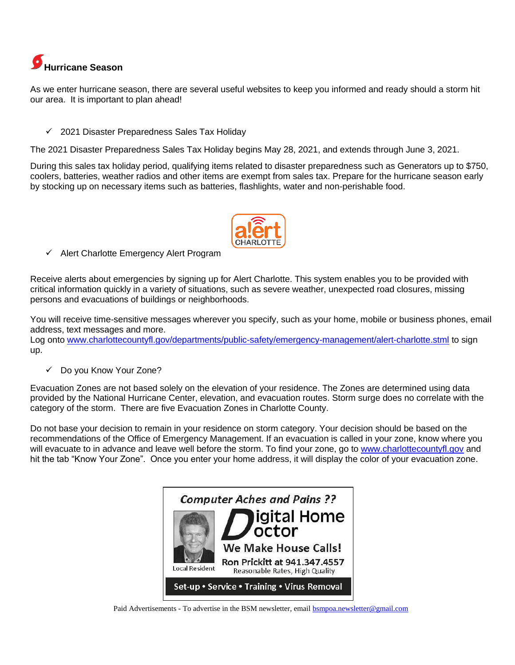

[As](http://pngimg.com/download/35931) we enter hurricane season, there are several useful websites to keep you informed and ready should a storm hit [our](http://pngimg.com/download/35931) area. It is important to plan ahead!

✓ 2021 Disaster Preparedness Sales Tax Holiday

[The](http://pngimg.com/download/35931) 2021 Disaster Preparedness Sales Tax Holiday begins May 28, 2021, and extends through June 3, 2021.

During this sales tax holiday period, qualifying items related to disaster preparedness such as Generators up to \$750, coolers, batteries, weather radios and other items are exempt from sales tax. Prepare for the hurricane season early by stocking up on necessary items such as batteries, flashlights, water and non-perishable food.



✓ Alert Charlotte Emergency Alert Program

Receive alerts about emergencies by signing up for Alert Charlotte. This system enables you to be provided with critical information quickly in a variety of situations, such as severe weather, unexpected road closures, missing persons and evacuations of buildings or neighborhoods.

You will receive time-sensitive messages wherever you specify, such as your home, mobile or business phones, email address, text messages and more.

Log onto [www.charlottecountyfl.gov/departments/public-safety/emergency-management/alert-charlotte.stml](http://www.charlottecountyfl.gov/departments/public-safety/emergency-management/alert-charlotte.stml) to sign up.

✓ Do you Know Your Zone?

Evacuation Zones are not based solely on the elevation of your residence. The Zones are determined using data provided by the National Hurricane Center, elevation, and evacuation routes. Storm surge does no correlate with the [cate](https://creativecommons.org/licenses/by-nc/3.0/)gory of the storm. There are five Evacuation Zones in Charlotte County.

[Do n](https://creativecommons.org/licenses/by-nc/3.0/)ot base your decision to remain in your residence on storm category. Your decision should be based on the r[eco](https://creativecommons.org/licenses/by-nc/3.0/)mmendations of the Office of Emergency Management. If an evacuation is called in your zone, know where you [wil](https://creativecommons.org/licenses/by-nc/3.0/)l evacuate to in advance and leave well before the storm. To find your zone, go to [www.charlottecountyfl.gov](http://www.charlottecountyfl.gov/) and [hit t](https://creativecommons.org/licenses/by-nc/3.0/)he tab "Know Your Zone". Once you enter your home address, it will display the color of your evacuation zone.



Paid Advertisements - To advertise in the BSM newsletter, email **bsmpoa.newsletter@gmail.com**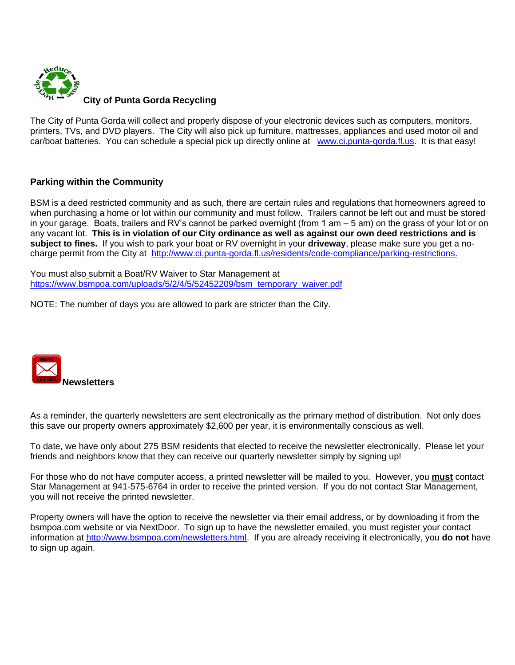

The City of Punta Gorda will collect and properly dispose of your electronic devices such as computers, monitors, printers, TVs, and DVD players. The City will also pick up furniture, mattresses, appliances and used motor oil and car/boat batteries. You can schedule a special pick up directly online at [www.ci.punta-gorda.fl.us.](http://www.ci.punta-gorda.fl.us/) It is that easy!

## **Parking within the Community**

BSM is a deed restricted community and as such, there are certain rules and regulations that homeowners agreed to when purchasing a home or lot within our community and must follow. Trailers cannot be left out and must be stored in your garage. Boats, trailers and RV's cannot be parked overnight (from 1 am – 5 am) on the grass of your lot or on any vacant lot. **This is in violation of our City ordinance as well as against our own deed restrictions and is subject to fines.** If you wish to park your boat or RV overnight in your **driveway**, please make sure you get a nocharge permit from the City at [http://www.ci.punta-gorda.fl.us/residents/code-compliance/parking-restrictions.](http://www.ci.punta-gorda.fl.us/residents/code-compliance/parking-restrictions)

You must also submit a Boat/RV Waiver to Star Management at [https://www.bsmpoa.com/uploads/5/2/4/5/52452209/bsm\\_temporary\\_waiver.pdf](https://www.bsmpoa.com/uploads/5/2/4/5/52452209/bsm_temporary_waiver.pdf)

NOTE: The number of days you are allowed to park are stricter than the City.



As a reminder, the quarterly newsletters are sent electronically as the primary method of distribution. Not only does this save our property owners approximately \$2,600 per year, it is environmentally conscious as well.

To date, we have only about 275 BSM residents that elected to receive the newsletter electronically. Please let your friends and neighbors know that they can receive our quarterly newsletter simply by signing up!

For those who do not have computer access, a printed newsletter will be mailed to you. However, you **must** contact Star Management at 941-575-6764 in order to receive the printed version. If you do not contact Star Management, you will not receive the printed newsletter.

Property owners will have the option to receive the newsletter via their email address, or by downloading it from the bsmpoa.com website or via NextDoor. To sign up to have the newsletter emailed, you must register your contact information at [http://www.bsmpoa.com/newsletters.html.](http://www.bsmpoa.com/newsletters.html) If you are already receiving it electronically, you **do not** have to sign up again.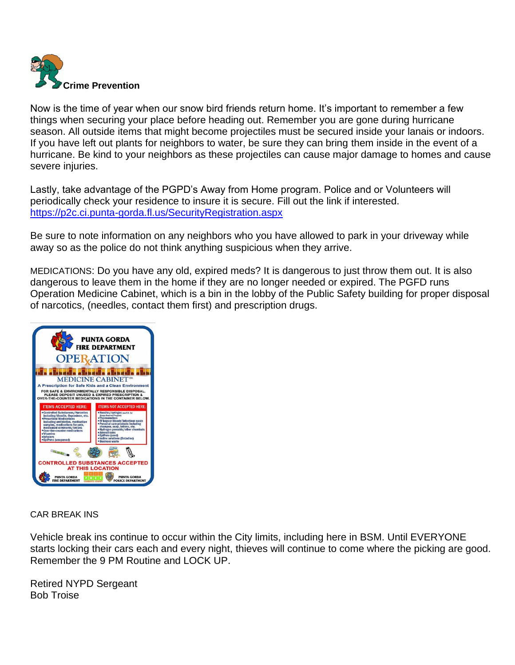

Now is the time of year when our snow bird friends return home. It's important to remember a few things when securing your place before heading out. Remember you are gone during hurricane season. All outside items that might become projectiles must be secured inside your lanais or indoors. If you have left out plants for neighbors to water, be sure they can bring them inside in the event of a hurricane. Be kind to your neighbors as these projectiles can cause major damage to homes and cause severe injuries.

Lastly, take advantage of the PGPD's Away from Home program. Police and or Volunteers will periodically check your residence to insure it is secure. Fill out the link if interested. <https://p2c.ci.punta-gorda.fl.us/SecurityRegistration.aspx>

Be sure to note information on any neighbors who you have allowed to park in your driveway while away so as the police do not think anything suspicious when they arrive.

MEDICATIONS: Do you have any old, expired meds? It is dangerous to just throw them out. It is also dangerous to leave them in the home if they are no longer needed or expired. The PGFD runs Operation Medicine Cabinet, which is a bin in the lobby of the Public Safety building for proper disposal of narcotics, (needles, contact them first) and prescription drugs.



CAR BREAK INS

Vehicle break ins continue to occur within the City limits, including here in BSM. Until EVERYONE starts locking their cars each and every night, thieves will continue to come where the picking are good. Remember the 9 PM Routine and LOCK UP.

Retired NYPD Sergeant Bob Troise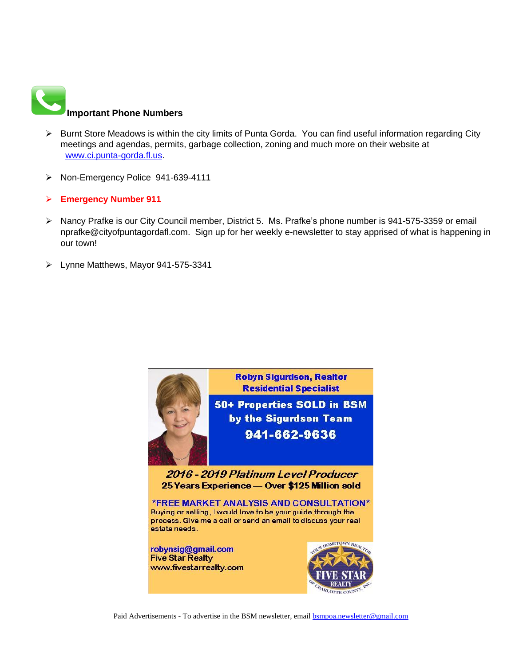

- [➢](https://commons.wikimedia.org/wiki/File:Phone_Shiny_Icon.svg) Burnt Store Meadows is within the city limits of Punta Gorda. You can find useful information regarding City meetings and agendas, permits, garbage collection, zoning and much more on their website at [www.ci.punta-gorda.fl.us.](http://www.ci.punta-gorda.fl.us/)
- ➢ Non-Emergency Police 941-639-4111
- ➢ **Emergency Number 911**
- [➢](https://creativecommons.org/licenses/by-sa/3.0/) Nancy Prafke is our City Council member, District 5. Ms. Prafke's phone number is 941-575-3359 or email nprafke@cityofpuntagordafl.com. Sign up for her weekly e-newsletter to stay apprised of what is happening in our town!
- ➢ Lynne Matthews, Mayor 941-575-3341

**Residential Specialist** 50+ Properties SOLD in BSM by the Sigurdson Team 941-662-9636

**Robyn Sigurdson, Realtor** 

2016 - 2019 Platinum Level Producer 25 Years Experience - Over \$125 Million sold

\*FREE MARKET ANALYSIS AND CONSULTATION\* Buying or selling, I would love to be your guide through the process. Give me a call or send an email to discuss your real estate needs.

robynsig@gmail.com **Five Star Realty** www.fivestarrealty.com



Paid Advertisements - To advertise in the BSM newsletter, email [bsmpoa.newsletter@gmail.com](mailto:bsmpoa.newsletter@gmail.com)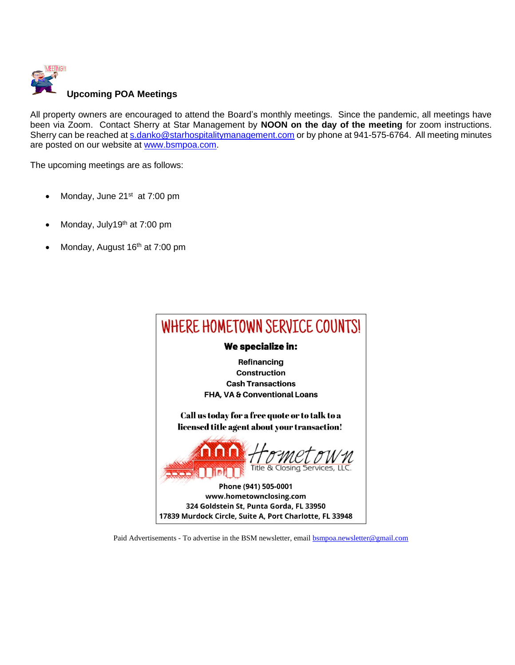

[All prop](http://connieuk.tistory.com/744)erty owners are encouraged to attend the Board's monthly meetings. Since the pandemic, all meetings have been via Zoom. Contact Sherry at Star Management by **NOON on the day of the meeting** for zoom instructions. Sherry can be reached a[t s.danko@starhospitalitymanagement.com](mailto:s.danko@starhospitalitymanagement.com) or by phone at 941-575-6764. All meeting minutes are posted on our website at [www.bsmpoa.com.](http://www.bsmpoa.com/)

The upcoming meetings are as follows:

- Monday, June 21<sup>st</sup> at 7:00 pm
- Monday, July19<sup>th</sup> at 7:00 pm
- Monday, August 16<sup>th</sup> at 7:00 pm



Paid Advertisements - To advertise in the BSM newsletter, email **bsmpoa.newsletter@gmail.com**